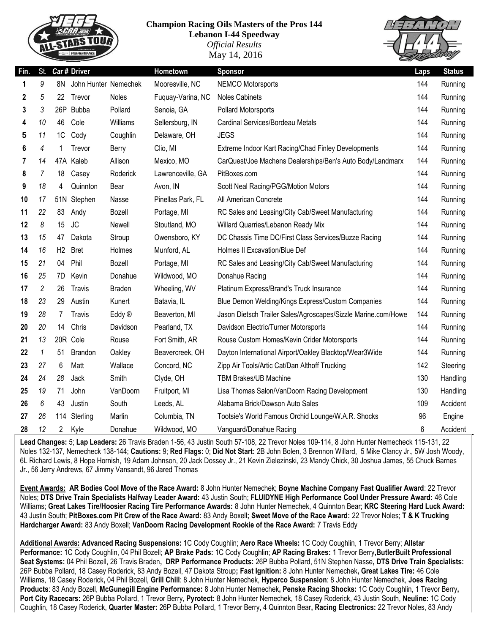

## **Champion Racing Oils Masters of the Pros 144**

**Lebanon I-44 Speedway** *Official Results* May 14, 2016



| Fin. | St.            |                | Car# Driver          |                   | Hometown          | <b>Sponsor</b>                                                | Laps | <b>Status</b> |
|------|----------------|----------------|----------------------|-------------------|-------------------|---------------------------------------------------------------|------|---------------|
| 1    | 9              | 8N             | John Hunter Nemechek |                   | Mooresville, NC   | <b>NEMCO Motorsports</b>                                      | 144  | Running       |
| 2    | 5              | 22.            | Trevor               | Noles             | Fuquay-Varina, NC | <b>Noles Cabinets</b>                                         | 144  | Running       |
| 3    | 3              |                | 26P Bubba            | Pollard           | Senoia, GA        | Pollard Motorsports                                           | 144  | Running       |
| 4    | 10             | 46             | Cole                 | Williams          | Sellersburg, IN   | Cardinal Services/Bordeau Metals                              | 144  | Running       |
| 5    | 11             | 1C             | Cody                 | Coughlin          | Delaware, OH      | <b>JEGS</b>                                                   | 144  | Running       |
| 6    | 4              | 1              | Trevor               | Berry             | Clio, MI          | Extreme Indoor Kart Racing/Chad Finley Developments           | 144  | Running       |
| 7    | 14             |                | 47A Kaleb            | Allison           | Mexico, MO        | CarQuest/Joe Machens Dealerships/Ben's Auto Body/Landmarx     | 144  | Running       |
| 8    | 7              | 18             | Casey                | Roderick          | Lawrenceville, GA | PitBoxes.com                                                  | 144  | Running       |
| 9    | 18             | 4              | Quinnton             | Bear              | Avon, IN          | Scott Neal Racing/PGG/Motion Motors                           | 144  | Running       |
| 10   | 17             |                | 51N Stephen          | Nasse             | Pinellas Park, FL | All American Concrete                                         | 144  | Running       |
| 11   | 22             | 83             | Andy                 | Bozell            | Portage, MI       | RC Sales and Leasing/City Cab/Sweet Manufacturing             | 144  | Running       |
| 12   | 8              | 15             | <b>JC</b>            | Newell            | Stoutland, MO     | Willard Quarries/Lebanon Ready Mix                            | 144  | Running       |
| 13   | 15             | 47             | Dakota               | Stroup            | Owensboro, KY     | DC Chassis Time DC/First Class Services/Buzze Racing          | 144  | Running       |
| 14   | 16             | H2             | <b>Bret</b>          | Holmes            | Munford, AL       | Holmes II Excavation/Blue Def                                 | 144  | Running       |
| 15   | 21             | 04             | Phil                 | <b>Bozell</b>     | Portage, MI       | RC Sales and Leasing/City Cab/Sweet Manufacturing             | 144  | Running       |
| 16   | 25             | 7D.            | Kevin                | Donahue           | Wildwood, MO      | Donahue Racing                                                | 144  | Running       |
| 17   | $\overline{c}$ | 26             | <b>Travis</b>        | <b>Braden</b>     | Wheeling, WV      | Platinum Express/Brand's Truck Insurance                      | 144  | Running       |
| 18   | 23             | 29             | Austin               | Kunert            | Batavia, IL       | Blue Demon Welding/Kings Express/Custom Companies             | 144  | Running       |
| 19   | 28             | 7              | <b>Travis</b>        | Eddy <sup>®</sup> | Beaverton, MI     | Jason Dietsch Trailer Sales/Agroscapes/Sizzle Marine.com/Howe | 144  | Running       |
| 20   | 20             | 14             | Chris                | Davidson          | Pearland, TX      | Davidson Electric/Turner Motorsports                          | 144  | Running       |
| 21   | 13             |                | 20R Cole             | Rouse             | Fort Smith, AR    | Rouse Custom Homes/Kevin Crider Motorsports                   | 144  | Running       |
| 22   | $\mathbf{1}$   | 51             | <b>Brandon</b>       | Oakley            | Beavercreek, OH   | Dayton International Airport/Oakley Blacktop/Wear3Wide        | 144  | Running       |
| 23   | 27             | 6              | Matt                 | Wallace           | Concord, NC       | Zipp Air Tools/Artic Cat/Dan Althoff Trucking                 | 142  | Steering      |
| 24   | 24             | 28             | Jack                 | Smith             | Clyde, OH         | <b>TBM Brakes/UB Machine</b>                                  | 130  | Handling      |
| 25   | 19             | 71             | John                 | VanDoorn          | Fruitport, MI     | Lisa Thomas Salon/VanDoorn Racing Development                 | 130  | Handling      |
| 26   | 6              | 43             | Justin               | South             | Leeds, AL         | Alabama Brick/Dawson Auto Sales                               | 109  | Accident      |
| 27   | 26             | 114            | Sterling             | Marlin            | Columbia, TN      | Tootsie's World Famous Orchid Lounge/W.A.R. Shocks            | 96   | Engine        |
| 28   | 12             | $\overline{2}$ | Kyle                 | Donahue           | Wildwood, MO      | Vanguard/Donahue Racing                                       | 6    | Accident      |

**Lead Changes:** 5; **Lap Leaders:** 26 Travis Braden 1-56, 43 Justin South 57-108, 22 Trevor Noles 109-114, 8 John Hunter Nemecheck 115-131, 22 Noles 132-137, Nemecheck 138-144; **Cautions:** 9; **Red Flags:** 0; **Did Not Start:** 2B John Bolen, 3 Brennon Willard, 5 Mike Clancy Jr., 5W Josh Woody, 6L Richard Lewis, 8 Hope Hornish, 19 Adam Johnson, 20 Jack Dossey Jr., 21 Kevin Zielezinski, 23 Mandy Chick, 30 Joshua James, 55 Chuck Barnes Jr., 56 Jerry Andrews, 67 Jimmy Vansandt, 96 Jared Thomas

**Event Awards: AR Bodies Cool Move of the Race Award:** 8 John Hunter Nemechek; **Boyne Machine Company Fast Qualifier Award**: 22 Trevor Noles; **DTS Drive Train Specialists Halfway Leader Award:** 43 Justin South; **FLUIDYNE High Performance Cool Under Pressure Award:** 46 Cole Williams; **Great Lakes Tire/Hoosier Racing Tire Performance Awards:** 8 John Hunter Nemechek, 4 Quinnton Bear; **KRC Steering Hard Luck Award:**  43 Justin South; **PitBoxes.com Pit Crew of the Race Award:** 83 Andy Boxell**; Sweet Move of the Race Award:** 22 Trevor Noles; **T & K Trucking Hardcharger Award:** 83 Andy Boxell; **VanDoorn Racing Development Rookie of the Race Award:** 7 Travis Eddy

**Additional Awards: Advanced Racing Suspensions:** 1C Cody Coughlin; **Aero Race Wheels:** 1C Cody Coughlin, 1 Trevor Berry; **Allstar Performance:** 1C Cody Coughlin, 04 Phil Bozell; **AP Brake Pads:** 1C Cody Coughlin; **AP Racing Brakes:** 1 Trevor Berry**,ButlerBuilt Professional Seat Systems:** 04 Phil Bozell, 26 Travis Braden**, DRP Performance Products:** 26P Bubba Pollard, 51N Stephen Nasse**, DTS Drive Train Specialists:**  26P Bubba Pollard, 18 Casey Roderick, 83 Andy Bozell, 47 Dakota Stroup**; Fast Ignition:** 8 John Hunter Nemechek**, Great Lakes Tire:** 46 Cole Williams, 18 Casey Roderick**,** 04 Phil Bozell, **Grill Chill**: 8 John Hunter Nemechek, **Hyperco Suspension**: 8 John Hunter Nemechek, **Joes Racing Products**: 83 Andy Bozell, **McGunegill Engine Performance:** 8 John Hunter Nemechek**, Penske Racing Shocks:** 1C Cody Coughlin, 1 Trevor Berry**, Port City Racecars:** 26P Bubba Pollard, 1 Trevor Berry**, Pyrotect:** 8 John Hunter Nemechek, 18 Casey Roderick, 43 Justin South, **Neuline:** 1C Cody Coughlin, 18 Casey Roderick, **Quarter Master:** 26P Bubba Pollard, 1 Trevor Berry, 4 Quinnton Bear**, Racing Electronics:** 22 Trevor Noles, 83 Andy